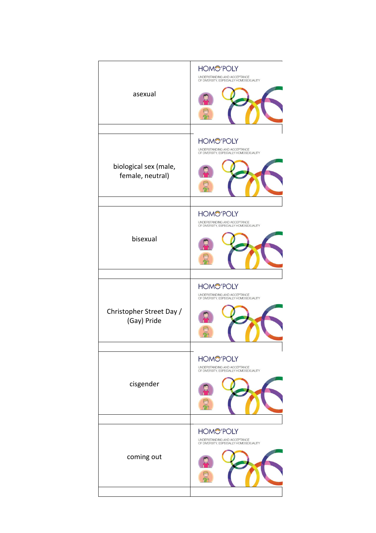| asexual                                   | <b>HOMO'POLY</b><br>UNDERSTANDING AND ACCEPTANCE<br>OF DIVERSITY, ESPECIALLY HOMOSEXUALITY |
|-------------------------------------------|--------------------------------------------------------------------------------------------|
|                                           | <b>HOMC'POLY</b><br>UNDERSTANDING AND ACCEPTANCE<br>OF DIVERSITY, ESPECIALLY HOMOSEXUALITY |
| biological sex (male,<br>female, neutral) |                                                                                            |
|                                           | <b>HOMC'POLY</b><br>UNDERSTANDING AND ACCEPTANCE<br>OF DIVERSITY, ESPECIALLY HOMOSEXUALITY |
| bisexual                                  |                                                                                            |
|                                           | <b>HOMC'POLY</b><br>UNDERSTANDING AND ACCEPTANCE<br>OF DIVERSITY, ESPECIALLY HOMOSEXUALITY |
| Christopher Street Day /<br>(Gay) Pride   |                                                                                            |
|                                           | <b>HOMO'POLY</b><br>UNDERSTANDING AND ACCEPTANCE                                           |
| cisgender                                 | OF DIVERSITY, ESPECIALLY HOMOSEXUALITY                                                     |
|                                           | <b>HOMO'POLY</b><br>UNDERSTANDING AND ACCEPTANCE                                           |
| coming out                                | OF DIVERSITY, ESPECIALLY HOMOSEXUALITY                                                     |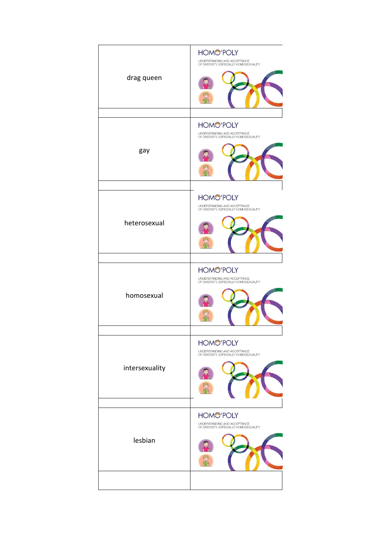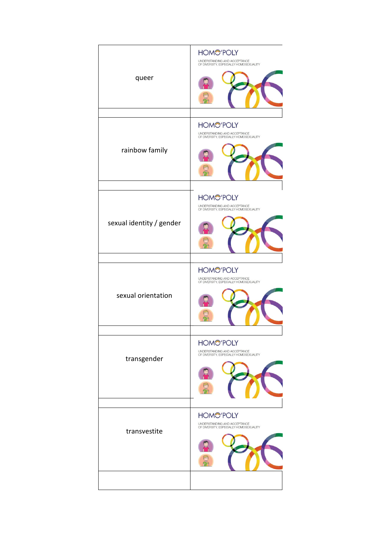| queer                    | <b>HOMO'POLY</b><br>UNDERSTANDING AND ACCEPTANCE<br>OF DIVERSITY, ESPECIALLY HOMOSEXUALITY |
|--------------------------|--------------------------------------------------------------------------------------------|
| rainbow family           | <b>HOMO'POLY</b><br>UNDERSTANDING AND ACCEPTANCE<br>OF DIVERSITY, ESPECIALLY HOMOSEXUALITY |
| sexual identity / gender | <b>HOMC'POLY</b><br>UNDERSTANDING AND ACCEPTANCE<br>OF DIVERSITY, ESPECIALLY HOMOSEXUALITY |
| sexual orientation       | <b>HOMC'POLY</b><br>UNDERSTANDING AND ACCEPTANCE<br>OF DIVERSITY, ESPECIALLY HOMOSEXUALITY |
| transgender              | <b>HOMO'POLY</b><br>UNDERSTANDING AND ACCEPTANCE<br>OF DIVERSITY, ESPECIALLY HOMOSEXUALITY |
| transvestite             | <b>HOMC'POLY</b><br>UNDERSTANDING AND ACCEPTANCE<br>OF DIVERSITY, ESPECIALLY HOMOSEXUALITY |
|                          |                                                                                            |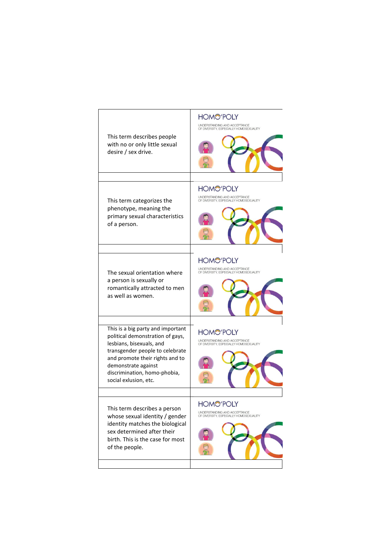## **HOMO'POLY** UNDERSTANDING AND ACCEPTANCE<br>OF DIVERSITY, ESPECIALLY HOMOSEXUALITY This term describes people with no or only little sexual desire / sex drive. **HOMC'POLY** UNDERSTANDING AND ACCEPTANCE<br>OF DIVERSITY, ESPECIALLY HOMOSEXUALITY This term categorizes the phenotype, meaning the primary sexual characteristics of a person. **HOMO'POLY** UNDERSTANDING AND ACCEPTANCE<br>OF DIVERSITY, ESPECIALLY HOMOSEXUALITY The sexual orientation where a person is sexually or romantically attracted to men as well as women. This is a big party and important **HOMO'POLY** political demonstration of gays, UNDERSTANDING AND ACCEPTANCE<br>OF DIVERSITY, ESPECIALLY HOMOSEXUALITY lesbians, bisexuals, and transgender people to celebrate and promote their rights and to demonstrate against discrimination, homo-phobia, social exlusion, etc. **HOMO'POLY** This term describes a person UNDERSTANDING AND ACCEPTANCE<br>OF DIVERSITY, ESPECIALLY HOMOSEXUALITY whose sexual identity / gender identity matches the biological sex determined after their birth. This is the case for most of the people. nh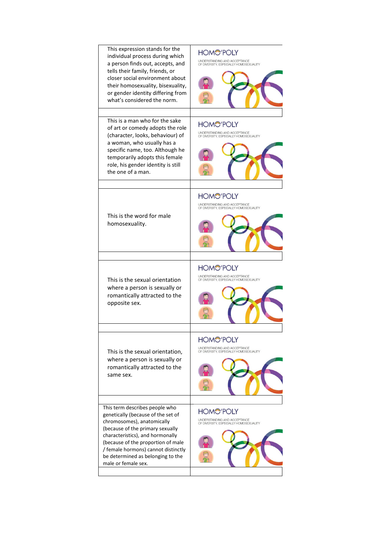| This expression stands for the<br>individual process during which<br>a person finds out, accepts, and<br>tells their family, friends, or<br>closer social environment about<br>their homosexuality, bisexuality,<br>or gender identity differing from<br>what's considered the norm. | <b>HOMO'POLY</b><br>UNDERSTANDING AND ACCEPTANCE<br>OF DIVERSITY, ESPECIALLY HOMOSEXUALITY |
|--------------------------------------------------------------------------------------------------------------------------------------------------------------------------------------------------------------------------------------------------------------------------------------|--------------------------------------------------------------------------------------------|
| This is a man who for the sake<br>of art or comedy adopts the role<br>(character, looks, behaviour) of<br>a woman, who usually has a<br>specific name, too. Although he<br>temporarily adopts this female<br>role, his gender identity is still<br>the one of a man.                 | <b>HOMO'POLY</b><br>UNDERSTANDING AND ACCEPTANCE<br>OF DIVERSITY, ESPECIALLY HOMOSEXUALITY |
|                                                                                                                                                                                                                                                                                      |                                                                                            |
| This is the word for male<br>homosexuality.                                                                                                                                                                                                                                          | <b>HOMO'POLY</b><br>UNDERSTANDING AND ACCEPTANCE<br>OF DIVERSITY, ESPECIALLY HOMOSEXUALITY |
|                                                                                                                                                                                                                                                                                      |                                                                                            |
|                                                                                                                                                                                                                                                                                      | <b>HOMO'POLY</b>                                                                           |
| This is the sexual orientation<br>where a person is sexually or<br>romantically attracted to the<br>opposite sex.                                                                                                                                                                    | UNDERSTANDING AND ACCEPTANCE<br>OF DIVERSITY, ESPECIALLY HOMOSEXUALITY                     |
|                                                                                                                                                                                                                                                                                      | <b>HOMO'POLY</b>                                                                           |
| This is the sexual orientation,<br>where a person is sexually or<br>romantically attracted to the<br>same sex.                                                                                                                                                                       | UNDERSTANDING AND ACCEPTANCE<br>OF DIVERSITY, ESPECIALLY HOMOSEXUALITY                     |
| This term describes people who                                                                                                                                                                                                                                                       |                                                                                            |
| genetically (because of the set of<br>chromosomes), anatomically<br>(because of the primary sexually<br>characteristics), and hormonally<br>(because of the proportion of male<br>/ female hormons) cannot distinctly<br>be determined as belonging to the                           | <b>HOMO'POLY</b><br>UNDERSTANDING AND ACCEPTANCE<br>OF DIVERSITY, ESPECIALLY HOMOSEXUALITY |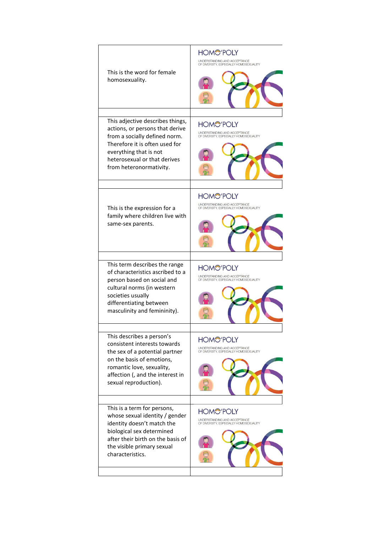| This is the word for female<br>homosexuality.                                                                                                                                                                               | <b>HOMO'POLY</b><br>UNDERSTANDING AND ACCEPTANCE<br>OF DIVERSITY, ESPECIALLY HOMOSEXUALITY |
|-----------------------------------------------------------------------------------------------------------------------------------------------------------------------------------------------------------------------------|--------------------------------------------------------------------------------------------|
| This adjective describes things,<br>actions, or persons that derive<br>from a socially defined norm.<br>Therefore it is often used for<br>everything that is not<br>heterosexual or that derives<br>from heteronormativity. | <b>HOMO'POLY</b><br>UNDERSTANDING AND ACCEPTANCE<br>OF DIVERSITY, ESPECIALLY HOMOSEXUALITY |
| This is the expression for a<br>family where children live with<br>same-sex parents.                                                                                                                                        | <b>HOMO'POLY</b><br>UNDERSTANDING AND ACCEPTANCE<br>OF DIVERSITY, ESPECIALLY HOMOSEXUALITY |
| This term describes the range<br>of characteristics ascribed to a<br>person based on social and<br>cultural norms (in western<br>societies usually<br>differentiating between<br>masculinity and femininity).               | <b>HOMO'POLY</b><br>UNDERSTANDING AND ACCEPTANCE<br>OF DIVERSITY, ESPECIALLY HOMOSEXUALITY |
| This describes a person's<br>consistent interests towards<br>the sex of a potential partner<br>on the basis of emotions,<br>romantic love, sexuality,<br>affection (, and the interest in<br>sexual reproduction).          | <b>HOMO'POLY</b><br>UNDERSTANDING AND ACCEPTANCE<br>OF DIVERSITY, ESPECIALLY HOMOSEXUALITY |
| This is a term for persons,<br>whose sexual identity / gender<br>identity doesn't match the<br>biological sex determined<br>after their birth on the basis of<br>the visible primary sexual<br>characteristics.             | HOMC'POLY<br>UNDERSTANDING AND ACCEPTANCE<br>OF DIVERSITY, ESPECIALLY HOMOSEXUALITY        |